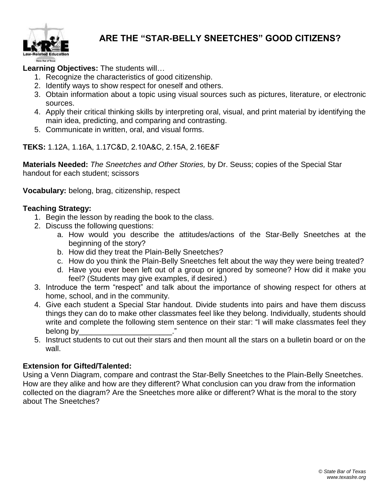

## **ARE THE "STAR-BELLY SNEETCHES" GOOD CITIZENS?**

## **Learning Objectives:** The students will…

- 1. Recognize the characteristics of good citizenship.
- 2. Identify ways to show respect for oneself and others.
- 3. Obtain information about a topic using visual sources such as pictures, literature, or electronic sources.
- 4. Apply their critical thinking skills by interpreting oral, visual, and print material by identifying the main idea, predicting, and comparing and contrasting.
- 5. Communicate in written, oral, and visual forms.

**TEKS:** 1.12A, 1.16A, 1.17C&D, 2.10A&C, 2.15A, 2.16E&F

**Materials Needed:** *The Sneetches and Other Stories,* by Dr. Seuss; copies of the Special Star handout for each student; scissors

**Vocabulary:** belong, brag, citizenship, respect

## **Teaching Strategy:**

- 1. Begin the lesson by reading the book to the class.
- 2. Discuss the following questions:
	- a. How would you describe the attitudes/actions of the Star-Belly Sneetches at the beginning of the story?
	- b. How did they treat the Plain-Belly Sneetches?
	- c. How do you think the Plain-Belly Sneetches felt about the way they were being treated?
	- d. Have you ever been left out of a group or ignored by someone? How did it make you feel? (Students may give examples, if desired.)
- 3. Introduce the term "respect" and talk about the importance of showing respect for others at home, school, and in the community.
- 4. Give each student a Special Star handout. Divide students into pairs and have them discuss things they can do to make other classmates feel like they belong. Individually, students should write and complete the following stem sentence on their star: "I will make classmates feel they belong by
- 5. Instruct students to cut out their stars and then mount all the stars on a bulletin board or on the wall.

## **Extension for Gifted/Talented:**

Using a Venn Diagram, compare and contrast the Star-Belly Sneetches to the Plain-Belly Sneetches. How are they alike and how are they different? What conclusion can you draw from the information collected on the diagram? Are the Sneetches more alike or different? What is the moral to the story about The Sneetches?